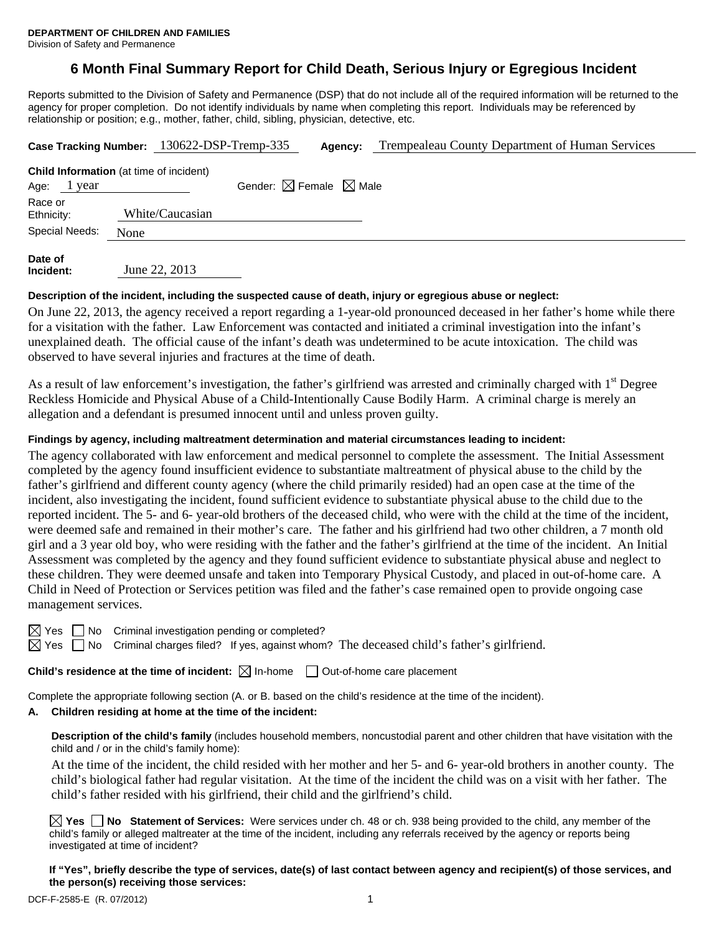# **6 Month Final Summary Report for Child Death, Serious Injury or Egregious Incident**

Reports submitted to the Division of Safety and Permanence (DSP) that do not include all of the required information will be returned to the agency for proper completion. Do not identify individuals by name when completing this report. Individuals may be referenced by relationship or position; e.g., mother, father, child, sibling, physician, detective, etc.

|                       | Case Tracking Number: 130622-DSP-Tremp-335     | Agency: | Trempealeau County Department of Human Services |  |  |
|-----------------------|------------------------------------------------|---------|-------------------------------------------------|--|--|
|                       | <b>Child Information</b> (at time of incident) |         |                                                 |  |  |
| Age:<br>1 year        | Gender: $\boxtimes$ Female $\boxtimes$ Male    |         |                                                 |  |  |
| Race or<br>Ethnicity: | White/Caucasian                                |         |                                                 |  |  |
| Special Needs:        | None                                           |         |                                                 |  |  |
| Date of               | --- ----                                       |         |                                                 |  |  |

**Incident:** June 22, 2013

### **Description of the incident, including the suspected cause of death, injury or egregious abuse or neglect:**

On June 22, 2013, the agency received a report regarding a 1-year-old pronounced deceased in her father's home while there for a visitation with the father. Law Enforcement was contacted and initiated a criminal investigation into the infant's unexplained death. The official cause of the infant's death was undetermined to be acute intoxication. The child was observed to have several injuries and fractures at the time of death.

As a result of law enforcement's investigation, the father's girlfriend was arrested and criminally charged with 1<sup>st</sup> Degree Reckless Homicide and Physical Abuse of a Child-Intentionally Cause Bodily Harm. A criminal charge is merely an allegation and a defendant is presumed innocent until and unless proven guilty.

### **Findings by agency, including maltreatment determination and material circumstances leading to incident:**

The agency collaborated with law enforcement and medical personnel to complete the assessment. The Initial Assessment completed by the agency found insufficient evidence to substantiate maltreatment of physical abuse to the child by the father's girlfriend and different county agency (where the child primarily resided) had an open case at the time of the incident, also investigating the incident, found sufficient evidence to substantiate physical abuse to the child due to the reported incident. The 5- and 6- year-old brothers of the deceased child, who were with the child at the time of the incident, were deemed safe and remained in their mother's care. The father and his girlfriend had two other children, a 7 month old girl and a 3 year old boy, who were residing with the father and the father's girlfriend at the time of the incident. An Initial Assessment was completed by the agency and they found sufficient evidence to substantiate physical abuse and neglect to these children. They were deemed unsafe and taken into Temporary Physical Custody, and placed in out-of-home care. A Child in Need of Protection or Services petition was filed and the father's case remained open to provide ongoing case management services.

No Criminal investigation pending or completed?

Yes  $\Box$  No Criminal charges filed? If yes, against whom? The deceased child's father's girlfriend.

**Child's residence at the time of incident:**  $\boxtimes$  In-home  $\Box$  Out-of-home care placement

Complete the appropriate following section (A. or B. based on the child's residence at the time of the incident).

### **A. Children residing at home at the time of the incident:**

**Description of the child's family** (includes household members, noncustodial parent and other children that have visitation with the child and / or in the child's family home):

 At the time of the incident, the child resided with her mother and her 5- and 6- year-old brothers in another county. The child's biological father had regular visitation. At the time of the incident the child was on a visit with her father. The child's father resided with his girlfriend, their child and the girlfriend's child.

**Yes No Statement of Services:** Were services under ch. 48 or ch. 938 being provided to the child, any member of the child's family or alleged maltreater at the time of the incident, including any referrals received by the agency or reports being investigated at time of incident?

**If "Yes", briefly describe the type of services, date(s) of last contact between agency and recipient(s) of those services, and the person(s) receiving those services:**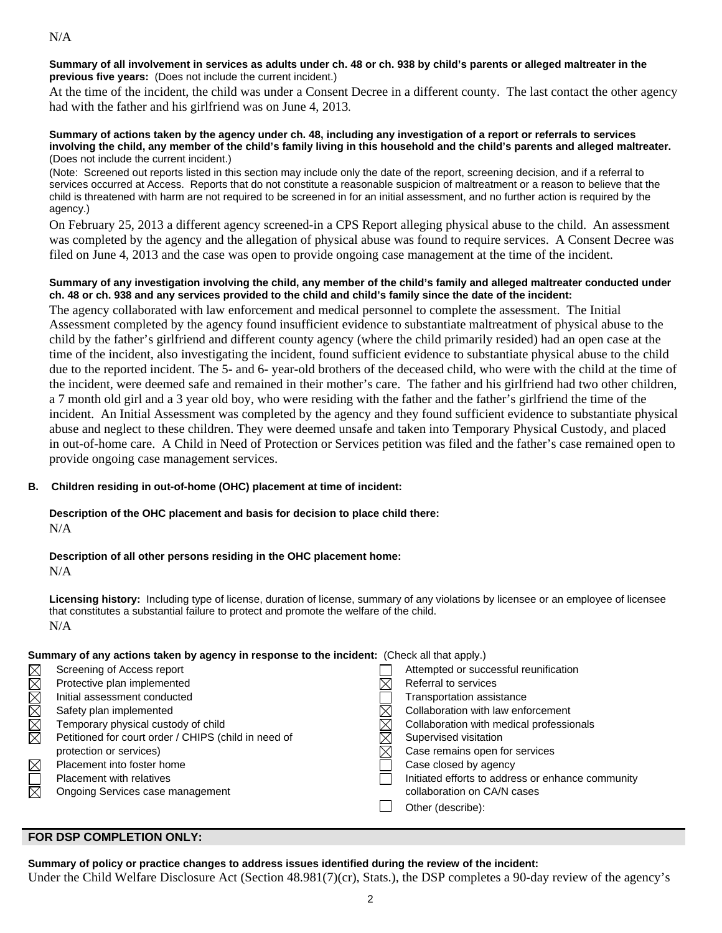**Summary of all involvement in services as adults under ch. 48 or ch. 938 by child's parents or alleged maltreater in the previous five years:** (Does not include the current incident.)

At the time of the incident, the child was under a Consent Decree in a different county. The last contact the other agency had with the father and his girlfriend was on June 4, 2013.

#### **Summary of actions taken by the agency under ch. 48, including any investigation of a report or referrals to services involving the child, any member of the child's family living in this household and the child's parents and alleged maltreater.** (Does not include the current incident.)

(Note: Screened out reports listed in this section may include only the date of the report, screening decision, and if a referral to services occurred at Access. Reports that do not constitute a reasonable suspicion of maltreatment or a reason to believe that the child is threatened with harm are not required to be screened in for an initial assessment, and no further action is required by the agency.)

On February 25, 2013 a different agency screened-in a CPS Report alleging physical abuse to the child. An assessment was completed by the agency and the allegation of physical abuse was found to require services. A Consent Decree was filed on June 4, 2013 and the case was open to provide ongoing case management at the time of the incident.

### **Summary of any investigation involving the child, any member of the child's family and alleged maltreater conducted under ch. 48 or ch. 938 and any services provided to the child and child's family since the date of the incident:**

The agency collaborated with law enforcement and medical personnel to complete the assessment. The Initial Assessment completed by the agency found insufficient evidence to substantiate maltreatment of physical abuse to the child by the father's girlfriend and different county agency (where the child primarily resided) had an open case at the time of the incident, also investigating the incident, found sufficient evidence to substantiate physical abuse to the child due to the reported incident. The 5- and 6- year-old brothers of the deceased child, who were with the child at the time of the incident, were deemed safe and remained in their mother's care. The father and his girlfriend had two other children, a 7 month old girl and a 3 year old boy, who were residing with the father and the father's girlfriend the time of the incident. An Initial Assessment was completed by the agency and they found sufficient evidence to substantiate physical abuse and neglect to these children. They were deemed unsafe and taken into Temporary Physical Custody, and placed in out-of-home care. A Child in Need of Protection or Services petition was filed and the father's case remained open to provide ongoing case management services.

## **B. Children residing in out-of-home (OHC) placement at time of incident:**

### **Description of the OHC placement and basis for decision to place child there:** N/A

## **Description of all other persons residing in the OHC placement home:**

N/A

**Licensing history:** Including type of license, duration of license, summary of any violations by licensee or an employee of licensee that constitutes a substantial failure to protect and promote the welfare of the child. N/A

## **Summary of any actions taken by agency in response to the incident:** (Check all that apply.)

| $\boxtimes$ | Screening of Access report                           | Attempted or successful reunification             |
|-------------|------------------------------------------------------|---------------------------------------------------|
| MMM         | Protective plan implemented                          | Referral to services                              |
|             | Initial assessment conducted                         | <b>Transportation assistance</b>                  |
|             | Safety plan implemented                              | Collaboration with law enforcement                |
| $\boxtimes$ | Temporary physical custody of child                  | Collaboration with medical professionals          |
|             | Petitioned for court order / CHIPS (child in need of | Supervised visitation                             |
|             | protection or services)                              | Case remains open for services                    |
| $\boxtimes$ | Placement into foster home                           | Case closed by agency                             |
|             | <b>Placement with relatives</b>                      | Initiated efforts to address or enhance community |
| $\boxtimes$ | Ongoing Services case management                     | collaboration on CA/N cases                       |
|             |                                                      | Other (describe):                                 |
|             |                                                      |                                                   |

# **FOR DSP COMPLETION ONLY:**

**Summary of policy or practice changes to address issues identified during the review of the incident:** 

Under the Child Welfare Disclosure Act (Section 48.981(7)(cr), Stats.), the DSP completes a 90-day review of the agency's